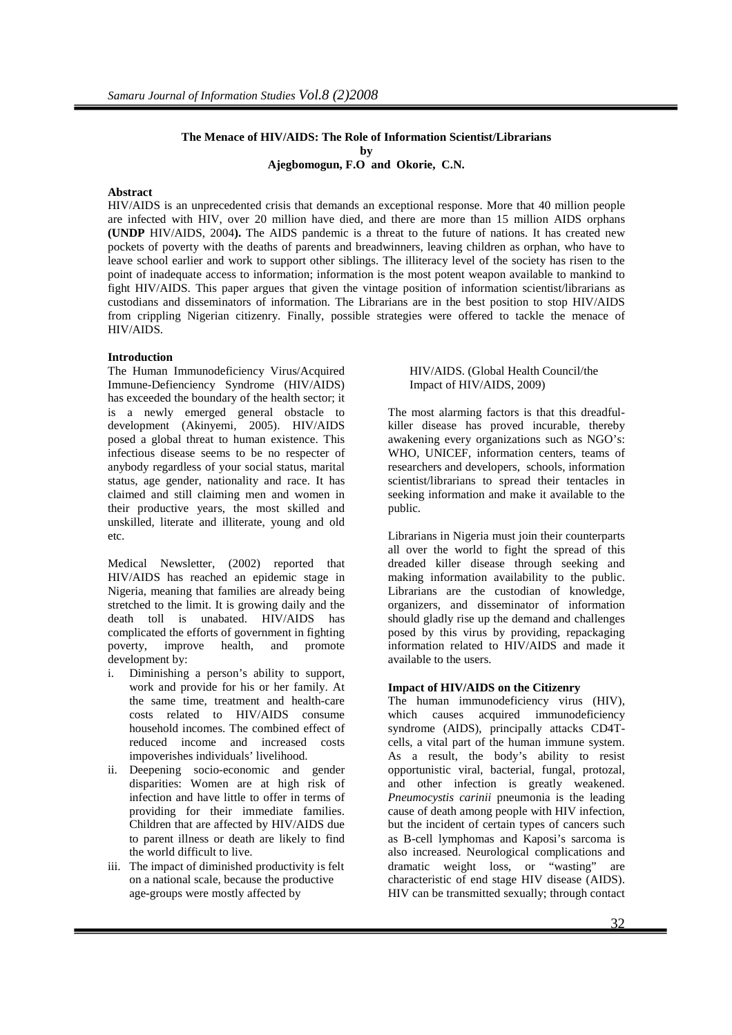### **The Menace of HIV/AIDS: The Role of Information Scientist/Librarians by Ajegbomogun, F.O and Okorie, C.N.**

### **Abstract**

HIV/AIDS is an unprecedented crisis that demands an exceptional response. More that 40 million people are infected with HIV, over 20 million have died, and there are more than 15 million AIDS orphans **(UNDP** HIV/AIDS, 2004**).** The AIDS pandemic is a threat to the future of nations. It has created new pockets of poverty with the deaths of parents and breadwinners, leaving children as orphan, who have to leave school earlier and work to support other siblings. The illiteracy level of the society has risen to the point of inadequate access to information; information is the most potent weapon available to mankind to fight HIV/AIDS. This paper argues that given the vintage position of information scientist/librarians as custodians and disseminators of information. The Librarians are in the best position to stop HIV/AIDS from crippling Nigerian citizenry. Finally, possible strategies were offered to tackle the menace of HIV/AIDS.

#### **Introduction**

The Human Immunodeficiency Virus/Acquired Immune-Defienciency Syndrome (HIV/AIDS) has exceeded the boundary of the health sector; it is a newly emerged general obstacle to development (Akinyemi, 2005). HIV/AIDS posed a global threat to human existence. This infectious disease seems to be no respecter of anybody regardless of your social status, marital status, age gender, nationality and race. It has claimed and still claiming men and women in their productive years, the most skilled and unskilled, literate and illiterate, young and old etc.

Medical Newsletter, (2002) reported that HIV/AIDS has reached an epidemic stage in Nigeria, meaning that families are already being stretched to the limit. It is growing daily and the death toll is unabated. HIV/AIDS has complicated the efforts of government in fighting<br>poverty, improve health, and promote improve health, and promote development by:

- i. Diminishing a person's ability to support, work and provide for his or her family. At the same time, treatment and health-care costs related to HIV/AIDS consume household incomes. The combined effect of reduced income and increased costs impoverishes individuals' livelihood.
- ii. Deepening socio-economic and gender disparities: Women are at high risk of infection and have little to offer in terms of providing for their immediate families. Children that are affected by HIV/AIDS due to parent illness or death are likely to find the world difficult to live.
- iii. The impact of diminished productivity is felt on a national scale, because the productive age-groups were mostly affected by

# HIV/AIDS. (Global Health Council/the Impact of HIV/AIDS, 2009)

The most alarming factors is that this dreadfulkiller disease has proved incurable, thereby awakening every organizations such as NGO's: WHO, UNICEF, information centers, teams of researchers and developers, schools, information scientist/librarians to spread their tentacles in seeking information and make it available to the public.

Librarians in Nigeria must join their counterparts all over the world to fight the spread of this dreaded killer disease through seeking and making information availability to the public. Librarians are the custodian of knowledge, organizers, and disseminator of information should gladly rise up the demand and challenges posed by this virus by providing, repackaging information related to HIV/AIDS and made it available to the users.

#### **Impact of HIV/AIDS on the Citizenry**

The human immunodeficiency virus (HIV), which causes acquired immunodeficiency syndrome (AIDS), principally attacks CD4Tcells, a vital part of the human immune system. As a result, the body's ability to resist opportunistic viral, bacterial, fungal, protozal, and other infection is greatly weakened. *Pneumocystis carinii* pneumonia is the leading cause of death among people with HIV infection, but the incident of certain types of cancers such as B-cell lymphomas and Kaposi's sarcoma is also increased. Neurological complications and dramatic weight loss, or "wasting" are characteristic of end stage HIV disease (AIDS). HIV can be transmitted sexually; through contact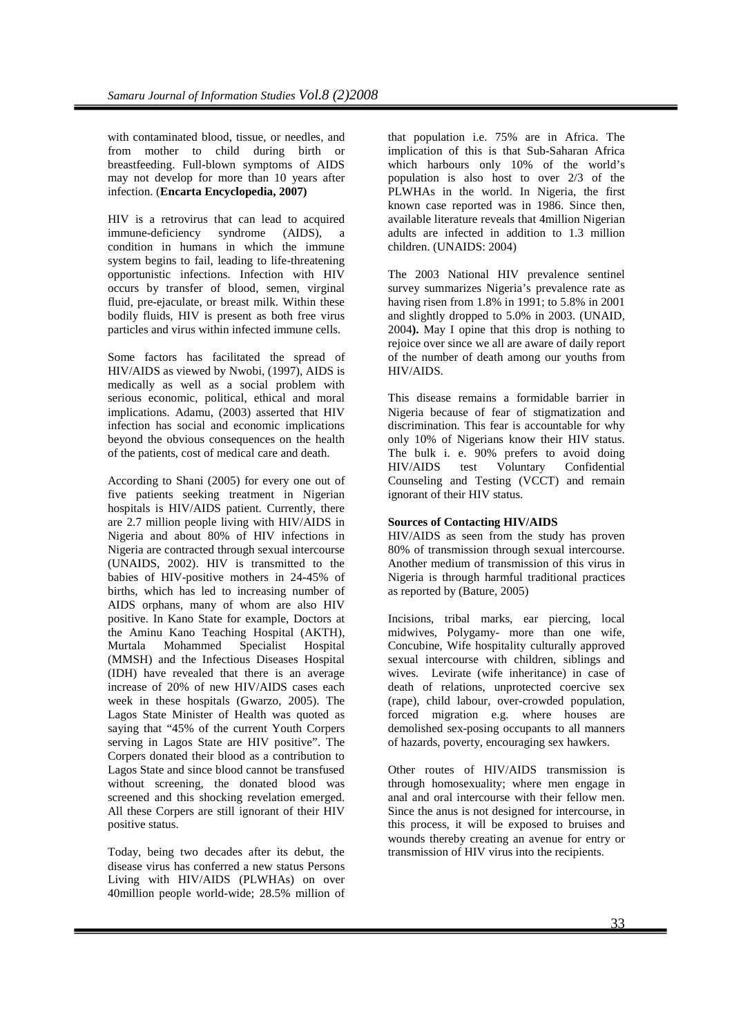with contaminated blood, tissue, or needles, and from mother to child during birth or breastfeeding. Full-blown symptoms of AIDS may not develop for more than 10 years after infection. (**Encarta Encyclopedia, 2007)**

HIV is a retrovirus that can lead to acquired immune-deficiency syndrome (AIDS), a condition in humans in which the immune system begins to fail, leading to life-threatening opportunistic infections. Infection with HIV occurs by transfer of blood, semen, virginal fluid, pre-ejaculate, or breast milk. Within these bodily fluids, HIV is present as both free virus particles and virus within infected immune cells.

Some factors has facilitated the spread of HIV/AIDS as viewed by Nwobi, (1997), AIDS is medically as well as a social problem with serious economic, political, ethical and moral implications. Adamu, (2003) asserted that HIV infection has social and economic implications beyond the obvious consequences on the health of the patients, cost of medical care and death.

According to Shani (2005) for every one out of five patients seeking treatment in Nigerian hospitals is HIV/AIDS patient. Currently, there are 2.7 million people living with HIV/AIDS in Nigeria and about 80% of HIV infections in Nigeria are contracted through sexual intercourse (UNAIDS, 2002). HIV is transmitted to the babies of HIV-positive mothers in 24-45% of births, which has led to increasing number of AIDS orphans, many of whom are also HIV positive. In Kano State for example, Doctors at the Aminu Kano Teaching Hospital (AKTH), Murtala Mohammed Specialist Hospital (MMSH) and the Infectious Diseases Hospital (IDH) have revealed that there is an average increase of 20% of new HIV/AIDS cases each week in these hospitals (Gwarzo, 2005). The Lagos State Minister of Health was quoted as saying that "45% of the current Youth Corpers serving in Lagos State are HIV positive". The Corpers donated their blood as a contribution to Lagos State and since blood cannot be transfused without screening, the donated blood was screened and this shocking revelation emerged. All these Corpers are still ignorant of their HIV positive status.

Today, being two decades after its debut, the disease virus has conferred a new status Persons Living with HIV/AIDS (PLWHAs) on over 40million people world-wide; 28.5% million of

that population i.e. 75% are in Africa. The implication of this is that Sub-Saharan Africa which harbours only 10% of the world's population is also host to over 2/3 of the PLWHAs in the world. In Nigeria, the first known case reported was in 1986. Since then, available literature reveals that 4million Nigerian adults are infected in addition to 1.3 million children. (UNAIDS: 2004)

The 2003 National HIV prevalence sentinel survey summarizes Nigeria's prevalence rate as having risen from 1.8% in 1991; to 5.8% in 2001 and slightly dropped to 5.0% in 2003. (UNAID, 2004**).** May I opine that this drop is nothing to rejoice over since we all are aware of daily report of the number of death among our youths from HIV/AIDS.

This disease remains a formidable barrier in Nigeria because of fear of stigmatization and discrimination. This fear is accountable for why only 10% of Nigerians know their HIV status. The bulk i. e. 90% prefers to avoid doing<br>HIV/AIDS test Voluntary Confidential Voluntary Confidential Counseling and Testing (VCCT) and remain ignorant of their HIV status.

# **Sources of Contacting HIV/AIDS**

HIV/AIDS as seen from the study has proven 80% of transmission through sexual intercourse. Another medium of transmission of this virus in Nigeria is through harmful traditional practices as reported by (Bature, 2005)

Incisions, tribal marks, ear piercing, local midwives, Polygamy- more than one wife, Concubine, Wife hospitality culturally approved sexual intercourse with children, siblings and wives. Levirate (wife inheritance) in case of death of relations, unprotected coercive sex (rape), child labour, over-crowded population, forced migration e.g. where houses are demolished sex-posing occupants to all manners of hazards, poverty, encouraging sex hawkers.

Other routes of HIV/AIDS transmission is through homosexuality; where men engage in anal and oral intercourse with their fellow men. Since the anus is not designed for intercourse, in this process, it will be exposed to bruises and wounds thereby creating an avenue for entry or transmission of HIV virus into the recipients.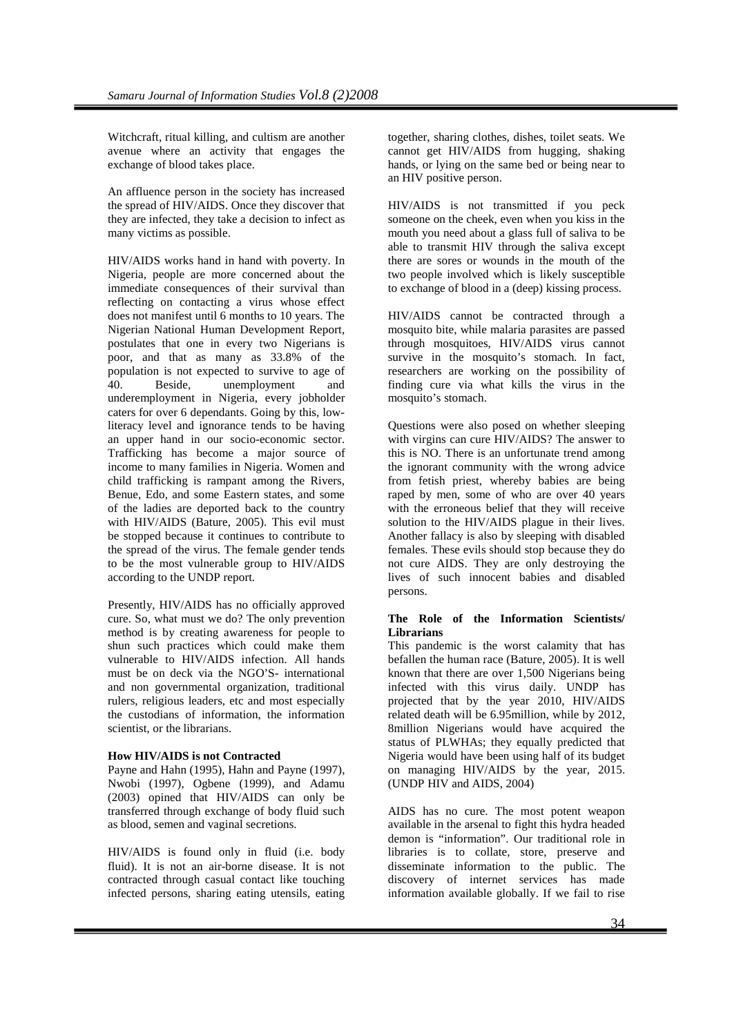Witchcraft, ritual killing, and cultism are another avenue where an activity that engages the exchange of blood takes place.

An affluence person in the society has increased the spread of HIV/AIDS. Once they discover that they are infected, they take a decision to infect as many victims as possible.

HIV/AIDS works hand in hand with poverty. In Nigeria, people are more concerned about the immediate consequences of their survival than reflecting on contacting a virus whose effect does not manifest until 6 months to 10 years. The Nigerian National Human Development Report, postulates that one in every two Nigerians is poor, and that as many as 33.8% of the population is not expected to survive to age of 40. Beside, unemployment and underemployment in Nigeria, every jobholder caters for over 6 dependants. Going by this, lowliteracy level and ignorance tends to be having an upper hand in our socio-economic sector. Trafficking has become a major source of income to many families in Nigeria. Women and child trafficking is rampant among the Rivers, Benue, Edo, and some Eastern states, and some of the ladies are deported back to the country with HIV/AIDS (Bature, 2005). This evil must be stopped because it continues to contribute to the spread of the virus. The female gender tends to be the most vulnerable group to HIV/AIDS according to the UNDP report.

Presently, HIV/AIDS has no officially approved cure. So, what must we do? The only prevention method is by creating awareness for people to shun such practices which could make them vulnerable to HIV/AIDS infection. All hands must be on deck via the NGO'S- international and non governmental organization, traditional rulers, religious leaders, etc and most especially the custodians of information, the information scientist, or the librarians.

# **How HIV/AIDS is not Contracted**

Payne and Hahn (1995), Hahn and Payne (1997), Nwobi (1997), Ogbene (1999), and Adamu (2003) opined that HIV/AIDS can only be transferred through exchange of body fluid such as blood, semen and vaginal secretions.

HIV/AIDS is found only in fluid (i.e. body fluid). It is not an air-borne disease. It is not contracted through casual contact like touching infected persons, sharing eating utensils, eating

together, sharing clothes, dishes, toilet seats. We cannot get HIV/AIDS from hugging, shaking hands, or lying on the same bed or being near to an HIV positive person.

HIV/AIDS is not transmitted if you peck someone on the cheek, even when you kiss in the mouth you need about a glass full of saliva to be able to transmit HIV through the saliva except there are sores or wounds in the mouth of the two people involved which is likely susceptible to exchange of blood in a (deep) kissing process.

HIV/AIDS cannot be contracted through a mosquito bite, while malaria parasites are passed through mosquitoes, HIV/AIDS virus cannot survive in the mosquito's stomach. In fact, researchers are working on the possibility of finding cure via what kills the virus in the mosquito's stomach.

Questions were also posed on whether sleeping with virgins can cure HIV/AIDS? The answer to this is NO. There is an unfortunate trend among the ignorant community with the wrong advice from fetish priest, whereby babies are being raped by men, some of who are over 40 years with the erroneous belief that they will receive solution to the HIV/AIDS plague in their lives. Another fallacy is also by sleeping with disabled females. These evils should stop because they do not cure AIDS. They are only destroying the lives of such innocent babies and disabled persons.

## **The Role of the Information Scientists/ Librarians**

This pandemic is the worst calamity that has befallen the human race (Bature, 2005). It is well known that there are over 1,500 Nigerians being infected with this virus daily. UNDP has projected that by the year 2010, HIV/AIDS related death will be 6.95million, while by 2012, 8million Nigerians would have acquired the status of PLWHAs; they equally predicted that Nigeria would have been using half of its budget on managing HIV/AIDS by the year, 2015. (UNDP HIV and AIDS, 2004)

AIDS has no cure. The most potent weapon available in the arsenal to fight this hydra headed demon is "information". Our traditional role in libraries is to collate, store, preserve and disseminate information to the public. The discovery of internet services has made information available globally. If we fail to rise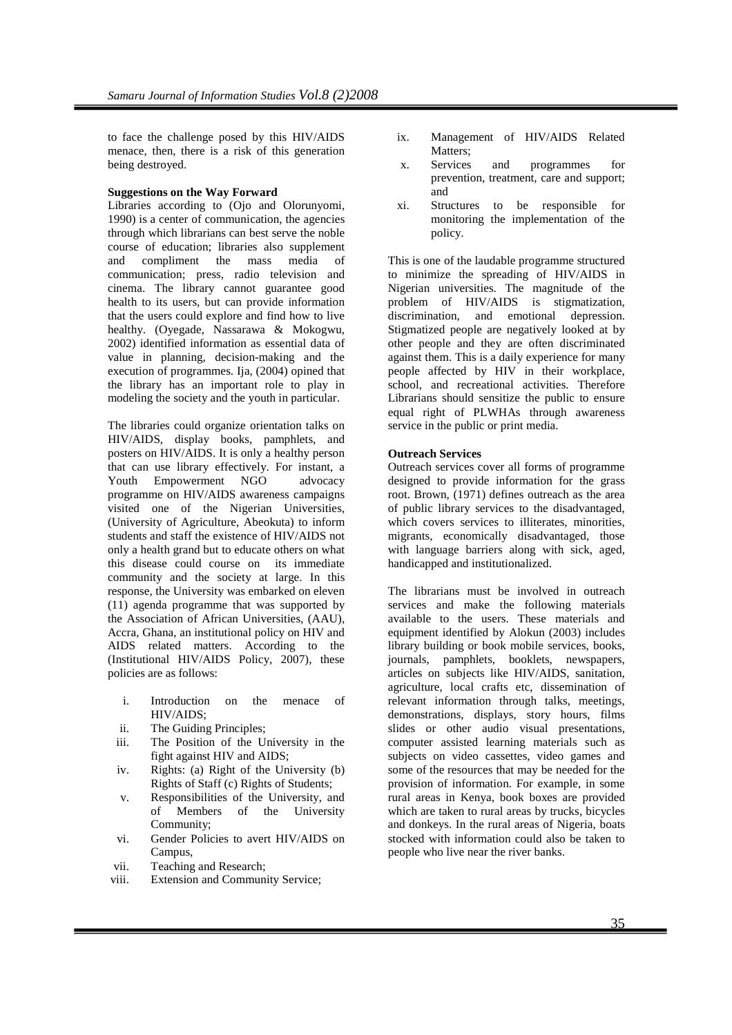to face the challenge posed by this HIV/AIDS menace, then, there is a risk of this generation being destroyed.

# **Suggestions on the Way Forward**

Libraries according to (Ojo and Olorunyomi, 1990) is a center of communication, the agencies through which librarians can best serve the noble course of education; libraries also supplement and compliment the mass media of communication; press, radio television and cinema. The library cannot guarantee good health to its users, but can provide information that the users could explore and find how to live healthy. (Oyegade, Nassarawa & Mokogwu, 2002) identified information as essential data of value in planning, decision-making and the execution of programmes. Ija, (2004) opined that the library has an important role to play in modeling the society and the youth in particular.

The libraries could organize orientation talks on HIV/AIDS, display books, pamphlets, and posters on HIV/AIDS. It is only a healthy person that can use library effectively. For instant, a Youth Empowerment NGO advocacy programme on HIV/AIDS awareness campaigns visited one of the Nigerian Universities, (University of Agriculture, Abeokuta) to inform students and staff the existence of HIV/AIDS not only a health grand but to educate others on what this disease could course on its immediate community and the society at large. In this response, the University was embarked on eleven (11) agenda programme that was supported by the Association of African Universities, (AAU), Accra, Ghana, an institutional policy on HIV and AIDS related matters. According to the (Institutional HIV/AIDS Policy, 2007), these policies are as follows:

- i. Introduction on the menace of HIV/AIDS;
- ii. The Guiding Principles;
- iii. The Position of the University in the fight against HIV and AIDS;
- iv. Rights: (a) Right of the University (b) Rights of Staff (c) Rights of Students;
- v. Responsibilities of the University, and of Members of the University Community;
- vi. Gender Policies to avert HIV/AIDS on Campus,
- vii. Teaching and Research;
- viii. Extension and Community Service;
- ix. Management of HIV/AIDS Related Matters;
- x. Services and programmes for prevention, treatment, care and support; and
- xi. Structures to be responsible for monitoring the implementation of the policy.

This is one of the laudable programme structured to minimize the spreading of HIV/AIDS in Nigerian universities. The magnitude of the problem of HIV/AIDS is stigmatization, discrimination, and emotional depression. Stigmatized people are negatively looked at by other people and they are often discriminated against them. This is a daily experience for many people affected by HIV in their workplace, school, and recreational activities. Therefore Librarians should sensitize the public to ensure equal right of PLWHAs through awareness service in the public or print media.

## **Outreach Services**

Outreach services cover all forms of programme designed to provide information for the grass root. Brown, (1971) defines outreach as the area of public library services to the disadvantaged, which covers services to illiterates, minorities, migrants, economically disadvantaged, those with language barriers along with sick, aged, handicapped and institutionalized.

The librarians must be involved in outreach services and make the following materials available to the users. These materials and equipment identified by Alokun (2003) includes library building or book mobile services, books, journals, pamphlets, booklets, newspapers, articles on subjects like HIV/AIDS, sanitation, agriculture, local crafts etc, dissemination of relevant information through talks, meetings, demonstrations, displays, story hours, films slides or other audio visual presentations, computer assisted learning materials such as subjects on video cassettes, video games and some of the resources that may be needed for the provision of information. For example, in some rural areas in Kenya, book boxes are provided which are taken to rural areas by trucks, bicycles and donkeys. In the rural areas of Nigeria, boats stocked with information could also be taken to people who live near the river banks.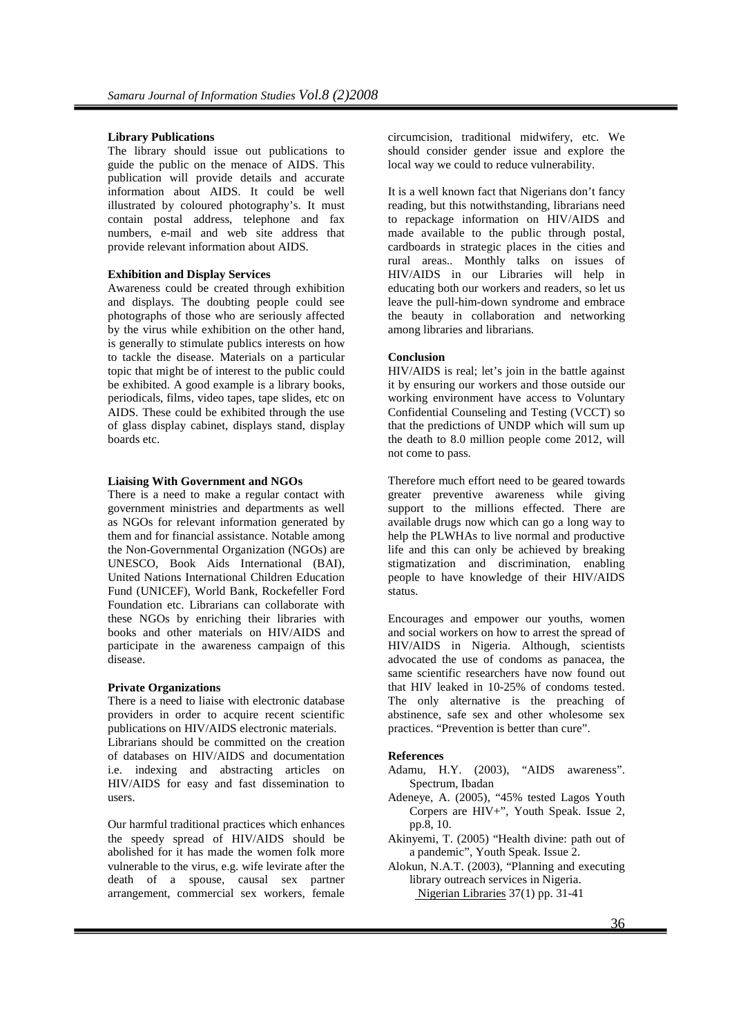### **Library Publications**

The library should issue out publications to guide the public on the menace of AIDS. This publication will provide details and accurate information about AIDS. It could be well illustrated by coloured photography's. It must contain postal address, telephone and fax numbers, e-mail and web site address that provide relevant information about AIDS.

#### **Exhibition and Display Services**

Awareness could be created through exhibition and displays. The doubting people could see photographs of those who are seriously affected by the virus while exhibition on the other hand, is generally to stimulate publics interests on how to tackle the disease. Materials on a particular topic that might be of interest to the public could be exhibited. A good example is a library books, periodicals, films, video tapes, tape slides, etc on AIDS. These could be exhibited through the use of glass display cabinet, displays stand, display boards etc.

# **Liaising With Government and NGOs**

There is a need to make a regular contact with government ministries and departments as well as NGOs for relevant information generated by them and for financial assistance. Notable among the Non-Governmental Organization (NGOs) are UNESCO, Book Aids International (BAI), United Nations International Children Education Fund (UNICEF), World Bank, Rockefeller Ford Foundation etc. Librarians can collaborate with these NGOs by enriching their libraries with books and other materials on HIV/AIDS and participate in the awareness campaign of this disease.

### **Private Organizations**

There is a need to liaise with electronic database providers in order to acquire recent scientific publications on HIV/AIDS electronic materials. Librarians should be committed on the creation of databases on HIV/AIDS and documentation i.e. indexing and abstracting articles on HIV/AIDS for easy and fast dissemination to users.

Our harmful traditional practices which enhances the speedy spread of HIV/AIDS should be abolished for it has made the women folk more vulnerable to the virus, e.g. wife levirate after the death of a spouse, causal sex partner arrangement, commercial sex workers, female

circumcision, traditional midwifery, etc. We should consider gender issue and explore the local way we could to reduce vulnerability.

It is a well known fact that Nigerians don't fancy reading, but this notwithstanding, librarians need to repackage information on HIV/AIDS and made available to the public through postal, cardboards in strategic places in the cities and rural areas.. Monthly talks on issues of HIV/AIDS in our Libraries will help in educating both our workers and readers, so let us leave the pull-him-down syndrome and embrace the beauty in collaboration and networking among libraries and librarians.

#### **Conclusion**

HIV/AIDS is real; let's join in the battle against it by ensuring our workers and those outside our working environment have access to Voluntary Confidential Counseling and Testing (VCCT) so that the predictions of UNDP which will sum up the death to 8.0 million people come 2012, will not come to pass.

Therefore much effort need to be geared towards greater preventive awareness while giving support to the millions effected. There are available drugs now which can go a long way to help the PLWHAs to live normal and productive life and this can only be achieved by breaking stigmatization and discrimination, enabling people to have knowledge of their HIV/AIDS status.

Encourages and empower our youths, women and social workers on how to arrest the spread of HIV/AIDS in Nigeria. Although, scientists advocated the use of condoms as panacea, the same scientific researchers have now found out that HIV leaked in 10-25% of condoms tested. The only alternative is the preaching of abstinence, safe sex and other wholesome sex practices. "Prevention is better than cure".

#### **References**

- Adamu, H.Y. (2003), "AIDS awareness". Spectrum, Ibadan
- Adeneye, A. (2005), "45% tested Lagos Youth Corpers are HIV+", Youth Speak. Issue 2, pp.8, 10.
- Akinyemi, T. (2005) "Health divine: path out of a pandemic", Youth Speak. Issue 2.
- Alokun, N.A.T. (2003), "Planning and executing library outreach services in Nigeria. Nigerian Libraries 37(1) pp. 31-41